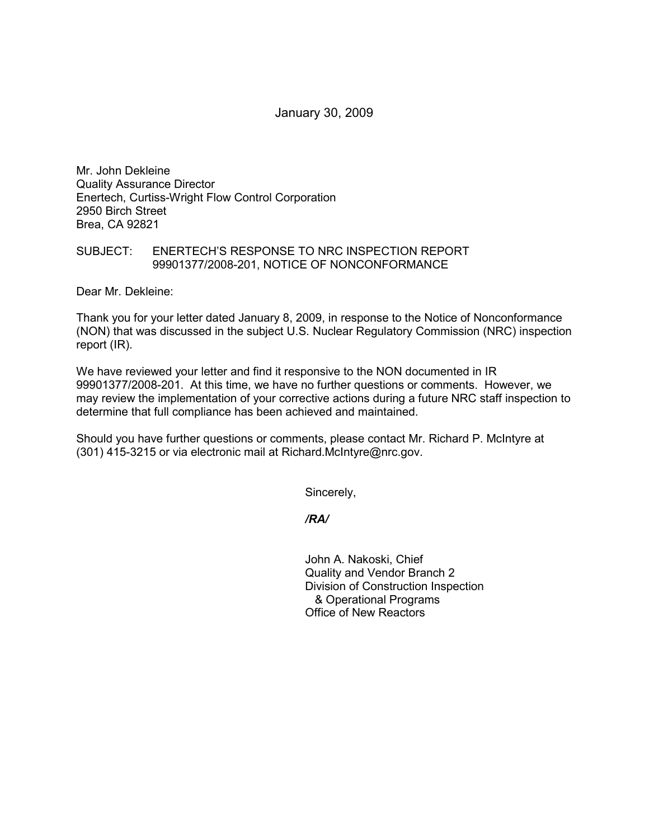January 30, 2009

Mr. John Dekleine Quality Assurance Director Enertech, Curtiss-Wright Flow Control Corporation 2950 Birch Street Brea, CA 92821

## SUBJECT: ENERTECH'S RESPONSE TO NRC INSPECTION REPORT 99901377/2008-201, NOTICE OF NONCONFORMANCE

Dear Mr. Dekleine:

Thank you for your letter dated January 8, 2009, in response to the Notice of Nonconformance (NON) that was discussed in the subject U.S. Nuclear Regulatory Commission (NRC) inspection report (IR).

We have reviewed your letter and find it responsive to the NON documented in IR 99901377/2008-201. At this time, we have no further questions or comments. However, we may review the implementation of your corrective actions during a future NRC staff inspection to determine that full compliance has been achieved and maintained.

Should you have further questions or comments, please contact Mr. Richard P. McIntyre at (301) 415-3215 or via electronic mail at Richard.McIntyre@nrc.gov.

Sincerely,

*/RA/* 

John A. Nakoski, Chief Quality and Vendor Branch 2 Division of Construction Inspection & Operational Programs Office of New Reactors